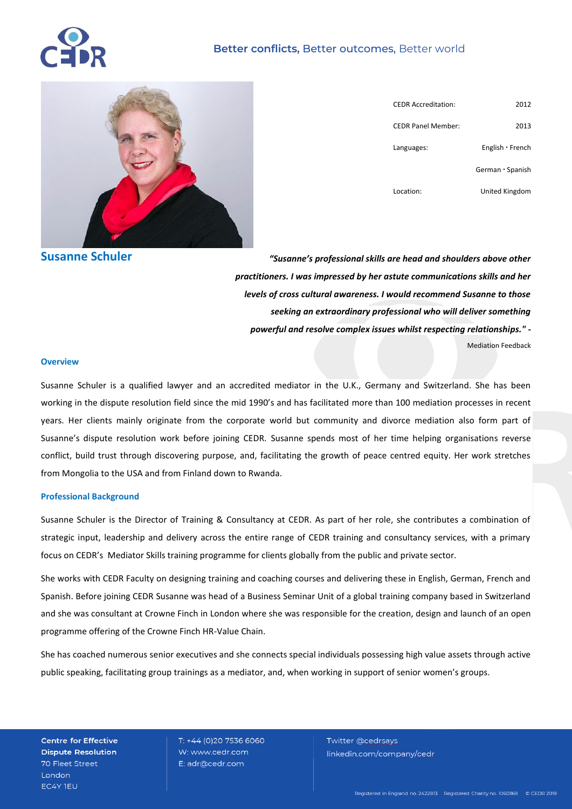## **Better conflicts,** Better outcomes, Better world



| <b>CEDR Accreditation:</b> | 2012             |
|----------------------------|------------------|
| <b>CEDR Panel Member:</b>  | 2013             |
| Languages:                 | English · French |
|                            | German · Spanish |
| Location:                  | United Kingdom   |

**Susanne Schuler**

*"Susanne's professional skills are head and shoulders above other practitioners. I was impressed by her astute communications skills and her levels of cross cultural awareness. I would recommend Susanne to those seeking an extraordinary professional who will deliver something powerful and resolve complex issues whilst respecting relationships." -* Mediation Feedback

#### **Overview**

Susanne Schuler is a qualified lawyer and an accredited mediator in the U.K., Germany and Switzerland. She has been working in the dispute resolution field since the mid 1990's and has facilitated more than 100 mediation processes in recent years. Her clients mainly originate from the corporate world but community and divorce mediation also form part of Susanne's dispute resolution work before joining CEDR. Susanne spends most of her time helping organisations reverse conflict, build trust through discovering purpose, and, facilitating the growth of peace centred equity. Her work stretches from Mongolia to the USA and from Finland down to Rwanda.

#### **Professional Background**

Susanne Schuler is the Director of Training & Consultancy at CEDR. As part of her role, she contributes a combination of strategic input, leadership and delivery across the entire range of CEDR training and consultancy services, with a primary focus on CEDR's Mediator Skills training programme for clients globally from the public and private sector.

She works with CEDR Faculty on designing training and coaching courses and delivering these in English, German, French and Spanish. Before joining CEDR Susanne was head of a Business Seminar Unit of a global training company based in Switzerland and she was consultant at [Crowne Finch](http://www.linkedin.com/company/1118166?trk=pro_other_cmpy) in London where she was responsible for the creation, design and launch of an open programme offering of the Crowne Finch HR-Value Chain.

She has coached numerous senior executives and she connects special individuals possessing high value assets through active public speaking, facilitating group trainings as a mediator, and, when working in support of senior women's groups.

**Centre for Effective Dispute Resolution** 70 Fleet Street London EC4Y TEU

T: +44 (0)20 7536 6060 W: www.cedr.com E: adr@cedr.com

Twitter @cedrsays linkedin.com/company/cedr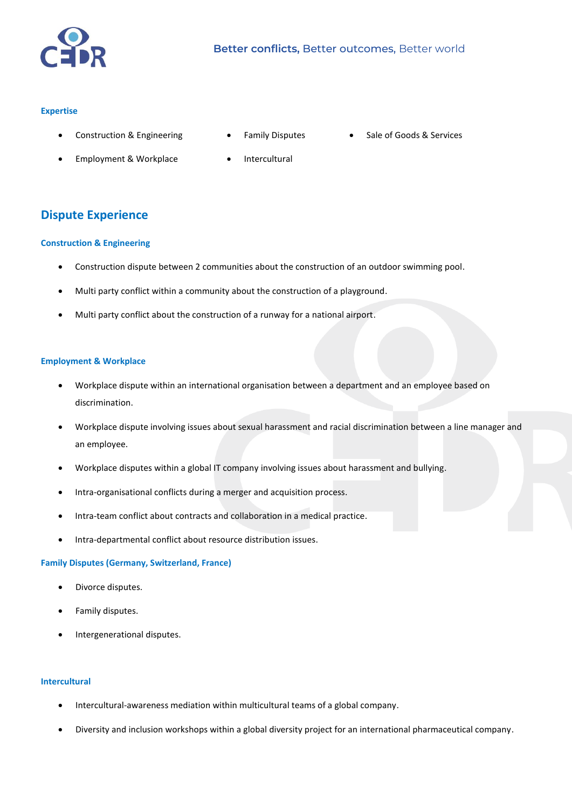

### **Expertise**

Construction & Engineering

Employment & Workplace

- Family Disputes
- Sale of Goods & Services
- Intercultural

# **Dispute Experience**

#### **Construction & Engineering**

- Construction dispute between 2 communities about the construction of an outdoor swimming pool.
- Multi party conflict within a community about the construction of a playground.
- Multi party conflict about the construction of a runway for a national airport.

#### **Employment & Workplace**

- Workplace dispute within an international organisation between a department and an employee based on discrimination.
- Workplace dispute involving issues about sexual harassment and racial discrimination between a line manager and an employee.
- Workplace disputes within a global IT company involving issues about harassment and bullying.
- Intra-organisational conflicts during a merger and acquisition process.
- Intra-team conflict about contracts and collaboration in a medical practice.
- Intra-departmental conflict about resource distribution issues.

#### **Family Disputes (Germany, Switzerland, France)**

- Divorce disputes.
- Family disputes.
- Intergenerational disputes.

## **Intercultural**

- Intercultural-awareness mediation within multicultural teams of a global company.
- Diversity and inclusion workshops within a global diversity project for an international pharmaceutical company.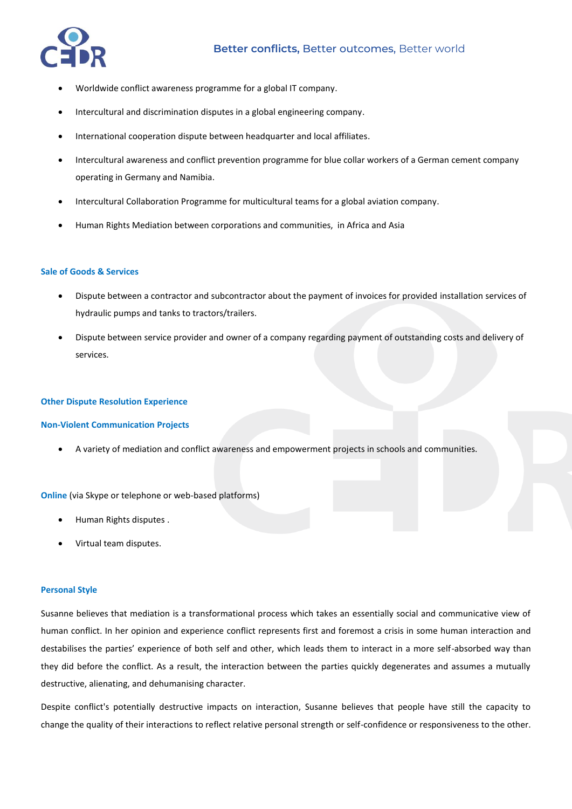

- Worldwide conflict awareness programme for a global IT company.
- Intercultural and discrimination disputes in a global engineering company.
- International cooperation dispute between headquarter and local affiliates.
- Intercultural awareness and conflict prevention programme for blue collar workers of a German cement company operating in Germany and Namibia.
- Intercultural Collaboration Programme for multicultural teams for a global aviation company.
- Human Rights Mediation between corporations and communities, in Africa and Asia

### **Sale of Goods & Services**

- Dispute between a contractor and subcontractor about the payment of invoices for provided installation services of hydraulic pumps and tanks to tractors/trailers.
- Dispute between service provider and owner of a company regarding payment of outstanding costs and delivery of services.

#### **Other Dispute Resolution Experience**

#### **Non-Violent Communication Projects**

A variety of mediation and conflict awareness and empowerment projects in schools and communities.

**Online** (via Skype or telephone or web-based platforms)

- Human Rights disputes .
- Virtual team disputes.

### **Personal Style**

Susanne believes that mediation is a transformational process which takes an essentially social and communicative view of human conflict. In her opinion and experience conflict represents first and foremost a crisis in some human interaction and destabilises the parties' experience of both self and other, which leads them to interact in a more self-absorbed way than they did before the conflict. As a result, the interaction between the parties quickly degenerates and assumes a mutually destructive, alienating, and dehumanising character.

Despite conflict's potentially destructive impacts on interaction, Susanne believes that people have still the capacity to change the quality of their interactions to reflect relative personal strength or self-confidence or responsiveness to the other.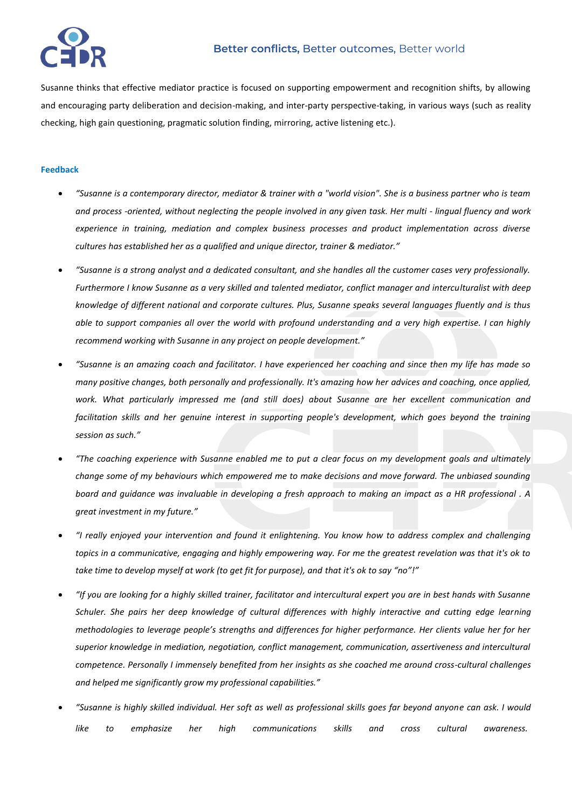

# **Better conflicts,** Better outcomes, Better world

Susanne thinks that effective mediator practice is focused on supporting empowerment and recognition shifts, by allowing and encouraging party deliberation and decision-making, and inter-party perspective-taking, in various ways (such as reality checking, high gain questioning, pragmatic solution finding, mirroring, active listening etc.).

### **Feedback**

- *"Susanne is a contemporary director, mediator & trainer with a "world vision". She is a business partner who is team and process -oriented, without neglecting the people involved in any given task. Her multi - lingual fluency and work experience in training, mediation and complex business processes and product implementation across diverse cultures has established her as a qualified and unique director, trainer & mediator."*
- *"Susanne is a strong analyst and a dedicated consultant, and she handles all the customer cases very professionally. Furthermore I know Susanne as a very skilled and talented mediator, conflict manager and interculturalist with deep knowledge of different national and corporate cultures. Plus, Susanne speaks several languages fluently and is thus able to support companies all over the world with profound understanding and a very high expertise. I can highly recommend working with Susanne in any project on people development."*
- *"Susanne is an amazing coach and facilitator. I have experienced her coaching and since then my life has made so many positive changes, both personally and professionally. It's amazing how her advices and coaching, once applied, work. What particularly impressed me (and still does) about Susanne are her excellent communication and facilitation skills and her genuine interest in supporting people's development, which goes beyond the training session as such."*
- *"The coaching experience with Susanne enabled me to put a clear focus on my development goals and ultimately change some of my behaviours which empowered me to make decisions and move forward. The unbiased sounding board and guidance was invaluable in developing a fresh approach to making an impact as a HR professional . A great investment in my future."*
- *"I really enjoyed your intervention and found it enlightening. You know how to address complex and challenging topics in a communicative, engaging and highly empowering way. For me the greatest revelation was that it's ok to take time to develop myself at work (to get fit for purpose), and that it's ok to say "no"!"*
- *"If you are looking for a highly skilled trainer, facilitator and intercultural expert you are in best hands with Susanne Schuler. She pairs her deep knowledge of cultural differences with highly interactive and cutting edge learning methodologies to leverage people's strengths and differences for higher performance. Her clients value her for her superior knowledge in mediation, negotiation, conflict management, communication, assertiveness and intercultural competence. Personally I immensely benefited from her insights as she coached me around cross-cultural challenges and helped me significantly grow my professional capabilities."*
- *"Susanne is highly skilled individual. Her soft as well as professional skills goes far beyond anyone can ask. I would like to emphasize her high communications skills and cross cultural awareness.*